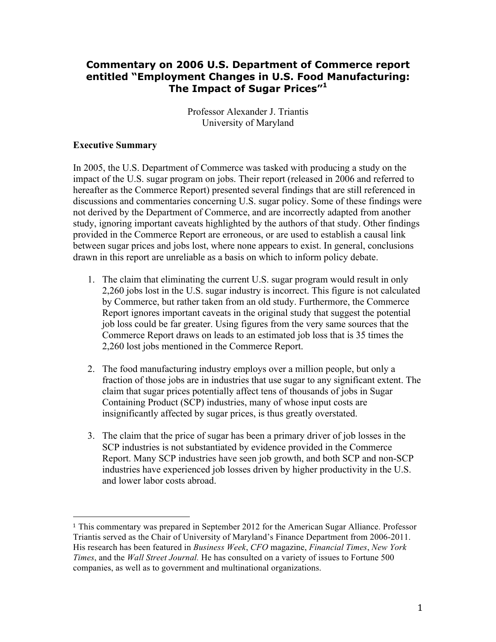# **Commentary on 2006 U.S. Department of Commerce report entitled "Employment Changes in U.S. Food Manufacturing: The Impact of Sugar Prices"1**

Professor Alexander J. Triantis University of Maryland

### **Executive Summary**

!!!!!!!!!!!!!!!!!!!!!!!!!!!!!!!!!!!!!!!!!!!!!!!!!!!!!!!

In 2005, the U.S. Department of Commerce was tasked with producing a study on the impact of the U.S. sugar program on jobs. Their report (released in 2006 and referred to hereafter as the Commerce Report) presented several findings that are still referenced in discussions and commentaries concerning U.S. sugar policy. Some of these findings were not derived by the Department of Commerce, and are incorrectly adapted from another study, ignoring important caveats highlighted by the authors of that study. Other findings provided in the Commerce Report are erroneous, or are used to establish a causal link between sugar prices and jobs lost, where none appears to exist. In general, conclusions drawn in this report are unreliable as a basis on which to inform policy debate.

- 1. The claim that eliminating the current U.S. sugar program would result in only 2,260 jobs lost in the U.S. sugar industry is incorrect. This figure is not calculated by Commerce, but rather taken from an old study. Furthermore, the Commerce Report ignores important caveats in the original study that suggest the potential job loss could be far greater. Using figures from the very same sources that the Commerce Report draws on leads to an estimated job loss that is 35 times the 2,260 lost jobs mentioned in the Commerce Report.
- 2. The food manufacturing industry employs over a million people, but only a fraction of those jobs are in industries that use sugar to any significant extent. The claim that sugar prices potentially affect tens of thousands of jobs in Sugar Containing Product (SCP) industries, many of whose input costs are insignificantly affected by sugar prices, is thus greatly overstated.
- 3. The claim that the price of sugar has been a primary driver of job losses in the SCP industries is not substantiated by evidence provided in the Commerce Report. Many SCP industries have seen job growth, and both SCP and non-SCP industries have experienced job losses driven by higher productivity in the U.S. and lower labor costs abroad.

<sup>1</sup> This commentary was prepared in September 2012 for the American Sugar Alliance. Professor Triantis served as the Chair of University of Maryland's Finance Department from 2006-2011. His research has been featured in *Business Week*, *CFO* magazine, *Financial Times*, *New York Times*, and the *Wall Street Journal.* He has consulted on a variety of issues to Fortune 500 companies, as well as to government and multinational organizations.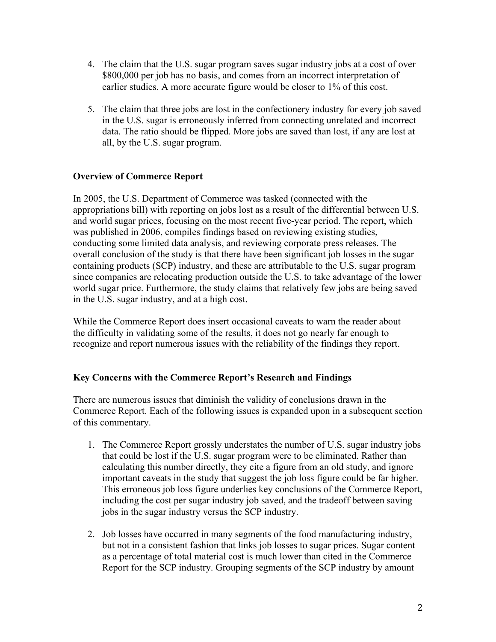- 4. The claim that the U.S. sugar program saves sugar industry jobs at a cost of over \$800,000 per job has no basis, and comes from an incorrect interpretation of earlier studies. A more accurate figure would be closer to 1% of this cost.
- 5. The claim that three jobs are lost in the confectionery industry for every job saved in the U.S. sugar is erroneously inferred from connecting unrelated and incorrect data. The ratio should be flipped. More jobs are saved than lost, if any are lost at all, by the U.S. sugar program.

## **Overview of Commerce Report**

In 2005, the U.S. Department of Commerce was tasked (connected with the appropriations bill) with reporting on jobs lost as a result of the differential between U.S. and world sugar prices, focusing on the most recent five-year period. The report, which was published in 2006, compiles findings based on reviewing existing studies, conducting some limited data analysis, and reviewing corporate press releases. The overall conclusion of the study is that there have been significant job losses in the sugar containing products (SCP) industry, and these are attributable to the U.S. sugar program since companies are relocating production outside the U.S. to take advantage of the lower world sugar price. Furthermore, the study claims that relatively few jobs are being saved in the U.S. sugar industry, and at a high cost.

While the Commerce Report does insert occasional caveats to warn the reader about the difficulty in validating some of the results, it does not go nearly far enough to recognize and report numerous issues with the reliability of the findings they report.

## **Key Concerns with the Commerce Report's Research and Findings**

There are numerous issues that diminish the validity of conclusions drawn in the Commerce Report. Each of the following issues is expanded upon in a subsequent section of this commentary.

- 1. The Commerce Report grossly understates the number of U.S. sugar industry jobs that could be lost if the U.S. sugar program were to be eliminated. Rather than calculating this number directly, they cite a figure from an old study, and ignore important caveats in the study that suggest the job loss figure could be far higher. This erroneous job loss figure underlies key conclusions of the Commerce Report, including the cost per sugar industry job saved, and the tradeoff between saving jobs in the sugar industry versus the SCP industry.
- 2. Job losses have occurred in many segments of the food manufacturing industry, but not in a consistent fashion that links job losses to sugar prices. Sugar content as a percentage of total material cost is much lower than cited in the Commerce Report for the SCP industry. Grouping segments of the SCP industry by amount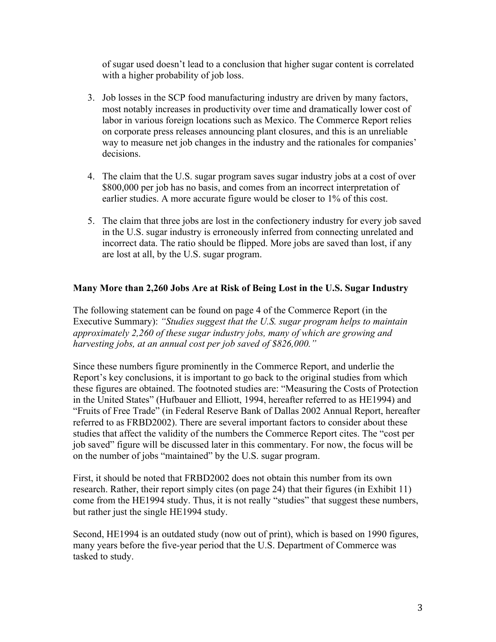of sugar used doesn't lead to a conclusion that higher sugar content is correlated with a higher probability of job loss.

- 3. Job losses in the SCP food manufacturing industry are driven by many factors, most notably increases in productivity over time and dramatically lower cost of labor in various foreign locations such as Mexico. The Commerce Report relies on corporate press releases announcing plant closures, and this is an unreliable way to measure net job changes in the industry and the rationales for companies' decisions.
- 4. The claim that the U.S. sugar program saves sugar industry jobs at a cost of over \$800,000 per job has no basis, and comes from an incorrect interpretation of earlier studies. A more accurate figure would be closer to 1% of this cost.
- 5. The claim that three jobs are lost in the confectionery industry for every job saved in the U.S. sugar industry is erroneously inferred from connecting unrelated and incorrect data. The ratio should be flipped. More jobs are saved than lost, if any are lost at all, by the U.S. sugar program.

# **Many More than 2,260 Jobs Are at Risk of Being Lost in the U.S. Sugar Industry**

The following statement can be found on page 4 of the Commerce Report (in the Executive Summary): *"Studies suggest that the U.S. sugar program helps to maintain approximately 2,260 of these sugar industry jobs, many of which are growing and harvesting jobs, at an annual cost per job saved of \$826,000."* 

Since these numbers figure prominently in the Commerce Report, and underlie the Report's key conclusions, it is important to go back to the original studies from which these figures are obtained. The footnoted studies are: "Measuring the Costs of Protection in the United States" (Hufbauer and Elliott, 1994, hereafter referred to as HE1994) and "Fruits of Free Trade" (in Federal Reserve Bank of Dallas 2002 Annual Report, hereafter referred to as FRBD2002). There are several important factors to consider about these studies that affect the validity of the numbers the Commerce Report cites. The "cost per job saved" figure will be discussed later in this commentary. For now, the focus will be on the number of jobs "maintained" by the U.S. sugar program.

First, it should be noted that FRBD2002 does not obtain this number from its own research. Rather, their report simply cites (on page 24) that their figures (in Exhibit 11) come from the HE1994 study. Thus, it is not really "studies" that suggest these numbers, but rather just the single HE1994 study.

Second, HE1994 is an outdated study (now out of print), which is based on 1990 figures, many years before the five-year period that the U.S. Department of Commerce was tasked to study.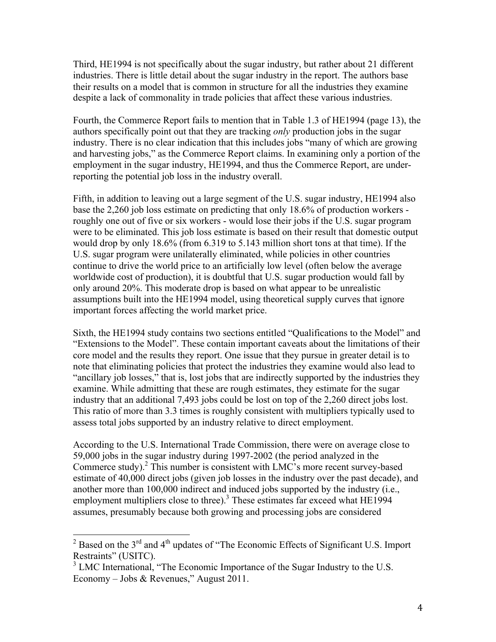Third, HE1994 is not specifically about the sugar industry, but rather about 21 different industries. There is little detail about the sugar industry in the report. The authors base their results on a model that is common in structure for all the industries they examine despite a lack of commonality in trade policies that affect these various industries.

Fourth, the Commerce Report fails to mention that in Table 1.3 of HE1994 (page 13), the authors specifically point out that they are tracking *only* production jobs in the sugar industry. There is no clear indication that this includes jobs "many of which are growing and harvesting jobs," as the Commerce Report claims. In examining only a portion of the employment in the sugar industry, HE1994, and thus the Commerce Report, are underreporting the potential job loss in the industry overall.

Fifth, in addition to leaving out a large segment of the U.S. sugar industry, HE1994 also base the 2,260 job loss estimate on predicting that only 18.6% of production workers roughly one out of five or six workers - would lose their jobs if the U.S. sugar program were to be eliminated. This job loss estimate is based on their result that domestic output would drop by only 18.6% (from 6.319 to 5.143 million short tons at that time). If the U.S. sugar program were unilaterally eliminated, while policies in other countries continue to drive the world price to an artificially low level (often below the average worldwide cost of production), it is doubtful that U.S. sugar production would fall by only around 20%. This moderate drop is based on what appear to be unrealistic assumptions built into the HE1994 model, using theoretical supply curves that ignore important forces affecting the world market price.

Sixth, the HE1994 study contains two sections entitled "Qualifications to the Model" and "Extensions to the Model". These contain important caveats about the limitations of their core model and the results they report. One issue that they pursue in greater detail is to note that eliminating policies that protect the industries they examine would also lead to "ancillary job losses," that is, lost jobs that are indirectly supported by the industries they examine. While admitting that these are rough estimates, they estimate for the sugar industry that an additional 7,493 jobs could be lost on top of the 2,260 direct jobs lost. This ratio of more than 3.3 times is roughly consistent with multipliers typically used to assess total jobs supported by an industry relative to direct employment.

According to the U.S. International Trade Commission, there were on average close to 59,000 jobs in the sugar industry during 1997-2002 (the period analyzed in the Commerce study).2 This number is consistent with LMC's more recent survey-based estimate of 40,000 direct jobs (given job losses in the industry over the past decade), and another more than 100,000 indirect and induced jobs supported by the industry (i.e., employment multipliers close to three).<sup>3</sup> These estimates far exceed what  $HE1994$ assumes, presumably because both growing and processing jobs are considered

 $12^2$  Based on the 3<sup>rd</sup> and 4<sup>th</sup> updates of "The Economic Effects of Significant U.S. Import Restraints" (USITC).

<sup>&</sup>lt;sup>3</sup> LMC International, "The Economic Importance of the Sugar Industry to the U.S. Economy – Jobs & Revenues," August 2011.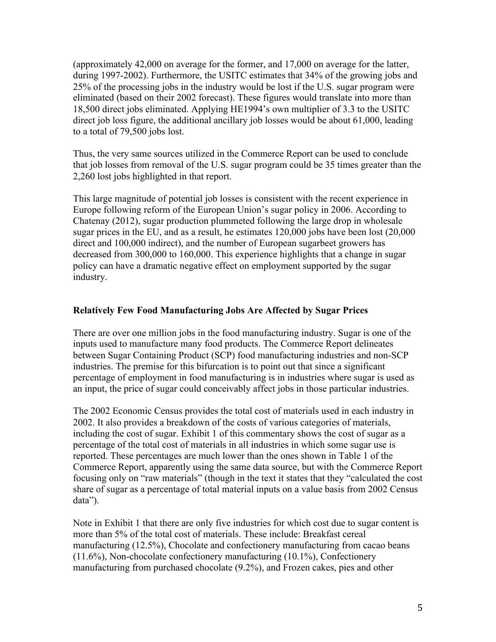(approximately 42,000 on average for the former, and 17,000 on average for the latter, during 1997-2002). Furthermore, the USITC estimates that 34% of the growing jobs and 25% of the processing jobs in the industry would be lost if the U.S. sugar program were eliminated (based on their 2002 forecast). These figures would translate into more than 18,500 direct jobs eliminated. Applying HE1994's own multiplier of 3.3 to the USITC direct job loss figure, the additional ancillary job losses would be about 61,000, leading to a total of 79,500 jobs lost.

Thus, the very same sources utilized in the Commerce Report can be used to conclude that job losses from removal of the U.S. sugar program could be 35 times greater than the 2,260 lost jobs highlighted in that report.

This large magnitude of potential job losses is consistent with the recent experience in Europe following reform of the European Union's sugar policy in 2006. According to Chatenay (2012), sugar production plummeted following the large drop in wholesale sugar prices in the EU, and as a result, he estimates 120,000 jobs have been lost (20,000 direct and 100,000 indirect), and the number of European sugarbeet growers has decreased from 300,000 to 160,000. This experience highlights that a change in sugar policy can have a dramatic negative effect on employment supported by the sugar industry.

### **Relatively Few Food Manufacturing Jobs Are Affected by Sugar Prices**

There are over one million jobs in the food manufacturing industry. Sugar is one of the inputs used to manufacture many food products. The Commerce Report delineates between Sugar Containing Product (SCP) food manufacturing industries and non-SCP industries. The premise for this bifurcation is to point out that since a significant percentage of employment in food manufacturing is in industries where sugar is used as an input, the price of sugar could conceivably affect jobs in those particular industries.

The 2002 Economic Census provides the total cost of materials used in each industry in 2002. It also provides a breakdown of the costs of various categories of materials, including the cost of sugar. Exhibit 1 of this commentary shows the cost of sugar as a percentage of the total cost of materials in all industries in which some sugar use is reported. These percentages are much lower than the ones shown in Table 1 of the Commerce Report, apparently using the same data source, but with the Commerce Report focusing only on "raw materials" (though in the text it states that they "calculated the cost share of sugar as a percentage of total material inputs on a value basis from 2002 Census data").

Note in Exhibit 1 that there are only five industries for which cost due to sugar content is more than 5% of the total cost of materials. These include: Breakfast cereal manufacturing (12.5%), Chocolate and confectionery manufacturing from cacao beans (11.6%), Non-chocolate confectionery manufacturing (10.1%), Confectionery manufacturing from purchased chocolate (9.2%), and Frozen cakes, pies and other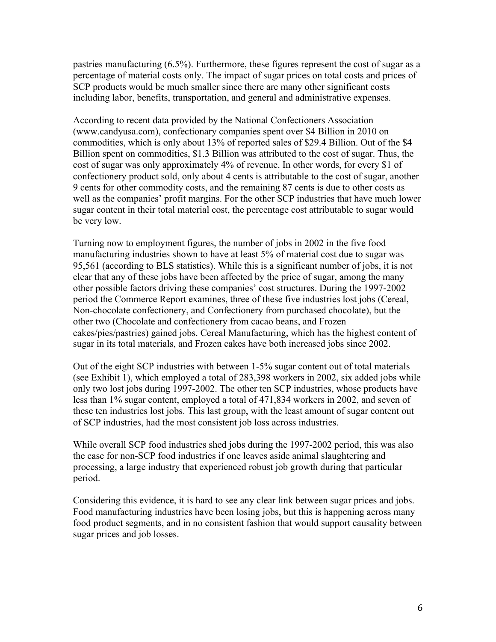pastries manufacturing (6.5%). Furthermore, these figures represent the cost of sugar as a percentage of material costs only. The impact of sugar prices on total costs and prices of SCP products would be much smaller since there are many other significant costs including labor, benefits, transportation, and general and administrative expenses.

According to recent data provided by the National Confectioners Association (www.candyusa.com), confectionary companies spent over \$4 Billion in 2010 on commodities, which is only about 13% of reported sales of \$29.4 Billion. Out of the \$4 Billion spent on commodities, \$1.3 Billion was attributed to the cost of sugar. Thus, the cost of sugar was only approximately 4% of revenue. In other words, for every \$1 of confectionery product sold, only about 4 cents is attributable to the cost of sugar, another 9 cents for other commodity costs, and the remaining 87 cents is due to other costs as well as the companies' profit margins. For the other SCP industries that have much lower sugar content in their total material cost, the percentage cost attributable to sugar would be very low.

Turning now to employment figures, the number of jobs in 2002 in the five food manufacturing industries shown to have at least 5% of material cost due to sugar was 95,561 (according to BLS statistics). While this is a significant number of jobs, it is not clear that any of these jobs have been affected by the price of sugar, among the many other possible factors driving these companies' cost structures. During the 1997-2002 period the Commerce Report examines, three of these five industries lost jobs (Cereal, Non-chocolate confectionery, and Confectionery from purchased chocolate), but the other two (Chocolate and confectionery from cacao beans, and Frozen cakes/pies/pastries) gained jobs. Cereal Manufacturing, which has the highest content of sugar in its total materials, and Frozen cakes have both increased jobs since 2002.

Out of the eight SCP industries with between 1-5% sugar content out of total materials (see Exhibit 1), which employed a total of 283,398 workers in 2002, six added jobs while only two lost jobs during 1997-2002. The other ten SCP industries, whose products have less than 1% sugar content, employed a total of 471,834 workers in 2002, and seven of these ten industries lost jobs. This last group, with the least amount of sugar content out of SCP industries, had the most consistent job loss across industries.

While overall SCP food industries shed jobs during the 1997-2002 period, this was also the case for non-SCP food industries if one leaves aside animal slaughtering and processing, a large industry that experienced robust job growth during that particular period.

Considering this evidence, it is hard to see any clear link between sugar prices and jobs. Food manufacturing industries have been losing jobs, but this is happening across many food product segments, and in no consistent fashion that would support causality between sugar prices and job losses.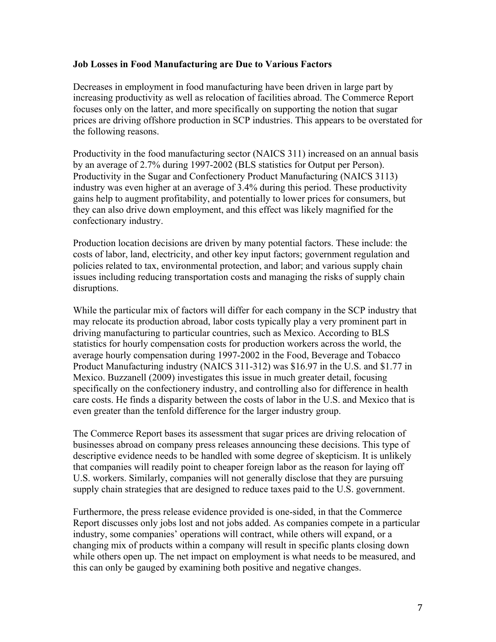#### **Job Losses in Food Manufacturing are Due to Various Factors**

Decreases in employment in food manufacturing have been driven in large part by increasing productivity as well as relocation of facilities abroad. The Commerce Report focuses only on the latter, and more specifically on supporting the notion that sugar prices are driving offshore production in SCP industries. This appears to be overstated for the following reasons.

Productivity in the food manufacturing sector (NAICS 311) increased on an annual basis by an average of 2.7% during 1997-2002 (BLS statistics for Output per Person). Productivity in the Sugar and Confectionery Product Manufacturing (NAICS 3113) industry was even higher at an average of 3.4% during this period. These productivity gains help to augment profitability, and potentially to lower prices for consumers, but they can also drive down employment, and this effect was likely magnified for the confectionary industry.

Production location decisions are driven by many potential factors. These include: the costs of labor, land, electricity, and other key input factors; government regulation and policies related to tax, environmental protection, and labor; and various supply chain issues including reducing transportation costs and managing the risks of supply chain disruptions.

While the particular mix of factors will differ for each company in the SCP industry that may relocate its production abroad, labor costs typically play a very prominent part in driving manufacturing to particular countries, such as Mexico. According to BLS statistics for hourly compensation costs for production workers across the world, the average hourly compensation during 1997-2002 in the Food, Beverage and Tobacco Product Manufacturing industry (NAICS 311-312) was \$16.97 in the U.S. and \$1.77 in Mexico. Buzzanell (2009) investigates this issue in much greater detail, focusing specifically on the confectionery industry, and controlling also for difference in health care costs. He finds a disparity between the costs of labor in the U.S. and Mexico that is even greater than the tenfold difference for the larger industry group.

The Commerce Report bases its assessment that sugar prices are driving relocation of businesses abroad on company press releases announcing these decisions. This type of descriptive evidence needs to be handled with some degree of skepticism. It is unlikely that companies will readily point to cheaper foreign labor as the reason for laying off U.S. workers. Similarly, companies will not generally disclose that they are pursuing supply chain strategies that are designed to reduce taxes paid to the U.S. government.

Furthermore, the press release evidence provided is one-sided, in that the Commerce Report discusses only jobs lost and not jobs added. As companies compete in a particular industry, some companies' operations will contract, while others will expand, or a changing mix of products within a company will result in specific plants closing down while others open up. The net impact on employment is what needs to be measured, and this can only be gauged by examining both positive and negative changes.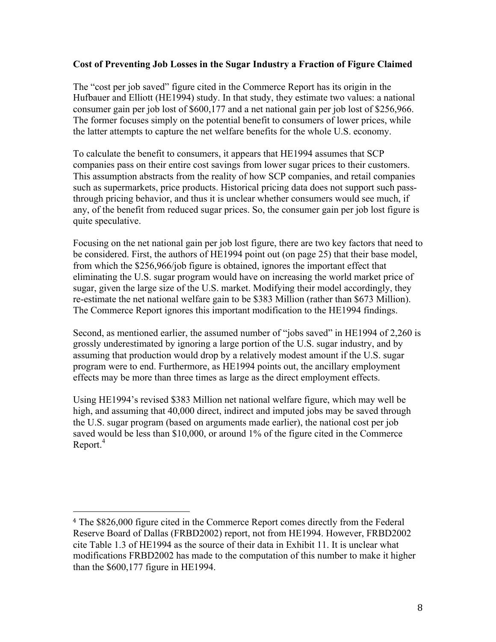### **Cost of Preventing Job Losses in the Sugar Industry a Fraction of Figure Claimed**

The "cost per job saved" figure cited in the Commerce Report has its origin in the Hufbauer and Elliott (HE1994) study. In that study, they estimate two values: a national consumer gain per job lost of \$600,177 and a net national gain per job lost of \$256,966. The former focuses simply on the potential benefit to consumers of lower prices, while the latter attempts to capture the net welfare benefits for the whole U.S. economy.

To calculate the benefit to consumers, it appears that HE1994 assumes that SCP companies pass on their entire cost savings from lower sugar prices to their customers. This assumption abstracts from the reality of how SCP companies, and retail companies such as supermarkets, price products. Historical pricing data does not support such passthrough pricing behavior, and thus it is unclear whether consumers would see much, if any, of the benefit from reduced sugar prices. So, the consumer gain per job lost figure is quite speculative.

Focusing on the net national gain per job lost figure, there are two key factors that need to be considered. First, the authors of HE1994 point out (on page 25) that their base model, from which the \$256,966/job figure is obtained, ignores the important effect that eliminating the U.S. sugar program would have on increasing the world market price of sugar, given the large size of the U.S. market. Modifying their model accordingly, they re-estimate the net national welfare gain to be \$383 Million (rather than \$673 Million). The Commerce Report ignores this important modification to the HE1994 findings.

Second, as mentioned earlier, the assumed number of "jobs saved" in HE1994 of 2,260 is grossly underestimated by ignoring a large portion of the U.S. sugar industry, and by assuming that production would drop by a relatively modest amount if the U.S. sugar program were to end. Furthermore, as HE1994 points out, the ancillary employment effects may be more than three times as large as the direct employment effects.

Using HE1994's revised \$383 Million net national welfare figure, which may well be high, and assuming that 40,000 direct, indirect and imputed jobs may be saved through the U.S. sugar program (based on arguments made earlier), the national cost per job saved would be less than \$10,000, or around 1% of the figure cited in the Commerce  $Report.<sup>4</sup>$ 

!!!!!!!!!!!!!!!!!!!!!!!!!!!!!!!!!!!!!!!!!!!!!!!!!!!!!!!

<sup>4</sup> The \$826,000 figure cited in the Commerce Report comes directly from the Federal Reserve Board of Dallas (FRBD2002) report, not from HE1994. However, FRBD2002 cite Table 1.3 of HE1994 as the source of their data in Exhibit 11. It is unclear what modifications FRBD2002 has made to the computation of this number to make it higher than the \$600,177 figure in HE1994.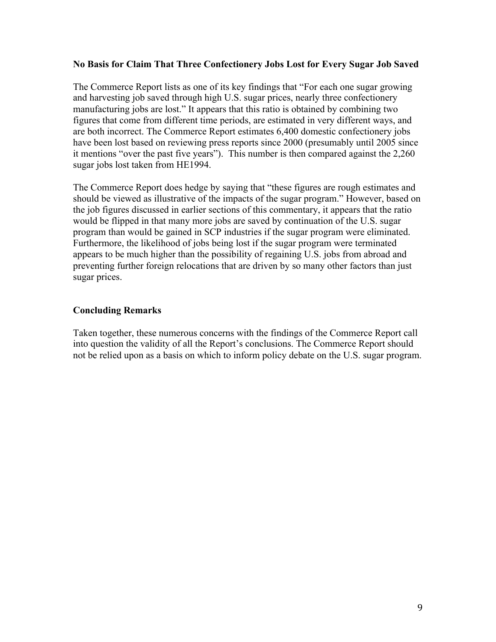#### **No Basis for Claim That Three Confectionery Jobs Lost for Every Sugar Job Saved**

The Commerce Report lists as one of its key findings that "For each one sugar growing and harvesting job saved through high U.S. sugar prices, nearly three confectionery manufacturing jobs are lost." It appears that this ratio is obtained by combining two figures that come from different time periods, are estimated in very different ways, and are both incorrect. The Commerce Report estimates 6,400 domestic confectionery jobs have been lost based on reviewing press reports since 2000 (presumably until 2005 since it mentions "over the past five years"). This number is then compared against the 2,260 sugar jobs lost taken from HE1994.

The Commerce Report does hedge by saying that "these figures are rough estimates and should be viewed as illustrative of the impacts of the sugar program." However, based on the job figures discussed in earlier sections of this commentary, it appears that the ratio would be flipped in that many more jobs are saved by continuation of the U.S. sugar program than would be gained in SCP industries if the sugar program were eliminated. Furthermore, the likelihood of jobs being lost if the sugar program were terminated appears to be much higher than the possibility of regaining U.S. jobs from abroad and preventing further foreign relocations that are driven by so many other factors than just sugar prices.

## **Concluding Remarks**

Taken together, these numerous concerns with the findings of the Commerce Report call into question the validity of all the Report's conclusions. The Commerce Report should not be relied upon as a basis on which to inform policy debate on the U.S. sugar program.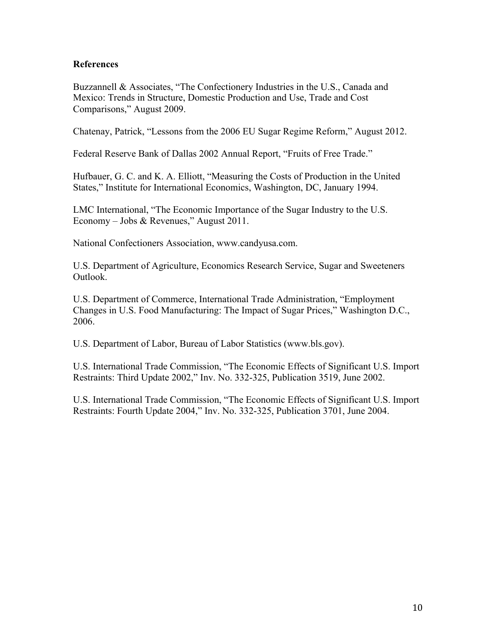### **References**

Buzzannell & Associates, "The Confectionery Industries in the U.S., Canada and Mexico: Trends in Structure, Domestic Production and Use, Trade and Cost Comparisons," August 2009.

Chatenay, Patrick, "Lessons from the 2006 EU Sugar Regime Reform," August 2012.

Federal Reserve Bank of Dallas 2002 Annual Report, "Fruits of Free Trade."

Hufbauer, G. C. and K. A. Elliott, "Measuring the Costs of Production in the United States," Institute for International Economics, Washington, DC, January 1994.

LMC International, "The Economic Importance of the Sugar Industry to the U.S. Economy – Jobs & Revenues," August 2011.

National Confectioners Association, www.candyusa.com.

U.S. Department of Agriculture, Economics Research Service, Sugar and Sweeteners Outlook.

U.S. Department of Commerce, International Trade Administration, "Employment Changes in U.S. Food Manufacturing: The Impact of Sugar Prices," Washington D.C., 2006.

U.S. Department of Labor, Bureau of Labor Statistics (www.bls.gov).

U.S. International Trade Commission, "The Economic Effects of Significant U.S. Import Restraints: Third Update 2002," Inv. No. 332-325, Publication 3519, June 2002.

U.S. International Trade Commission, "The Economic Effects of Significant U.S. Import Restraints: Fourth Update 2004," Inv. No. 332-325, Publication 3701, June 2004.